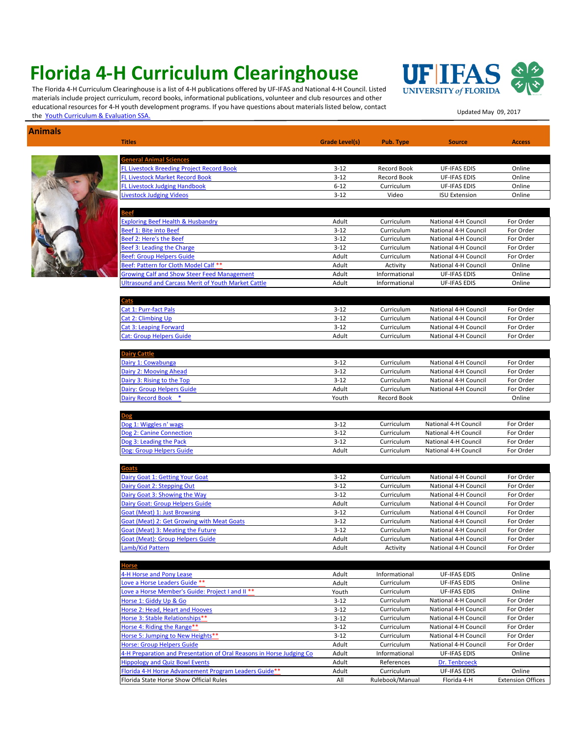## **Florida 4-H Curriculum Clearinghouse**

**Animals**

The Florida 4-H Curriculum Clearinghouse is a list of 4-H publications offered by UF-IFAS and National 4-H Council. Listed materials include project curriculum, record books, informational publications, volunteer and club resources and other [educational resources for 4-H youth development programs. If you have questions about materials listed below, contact](mailto:sarahzt@ufl.edu)  educational resources for 4-11 youth development programs. In you have questions about materials instead below, contact<br>the <u>Youth Curriculum & Evaluation SSA.</u>



| mals |                                                                      |                |                           |                      |                          |
|------|----------------------------------------------------------------------|----------------|---------------------------|----------------------|--------------------------|
|      | <b>Titles</b>                                                        | Grade Level(s) | Pub. Type                 | <b>Source</b>        | <b>Access</b>            |
|      | <b>General Animal Sciences</b>                                       |                |                           |                      |                          |
|      | <b>FL Livestock Breeding Project Record Book</b>                     | $3 - 12$       | Record Book               | <b>UF-IFAS EDIS</b>  | Online                   |
|      | <b>FL Livestock Market Record Book</b>                               | $3 - 12$       | Record Book               | <b>UF-IFAS EDIS</b>  | Online                   |
|      | <b>FL Livestock Judging Handbook</b>                                 | $6 - 12$       | Curriculum                | <b>UF-IFAS EDIS</b>  | Online                   |
|      | ivestock Judging Videos                                              | $3 - 12$       | Video                     | <b>ISU Extension</b> | Online                   |
|      |                                                                      |                |                           |                      |                          |
|      | <b>Exploring Beef Health &amp; Husbandry</b>                         | Adult          | Curriculum                | National 4-H Council | For Order                |
|      | Beef 1: Bite into Beef                                               | $3 - 12$       | Curriculum                | National 4-H Council | For Order                |
|      | Beef 2: Here's the Beef                                              | $3-12$         | Curriculum                | National 4-H Council | For Order                |
|      | Beef 3: Leading the Charge                                           | $3 - 12$       | Curriculum                | National 4-H Council | For Order                |
|      | Beef: Group Helpers Guide                                            | Adult          | Curriculum                | National 4-H Council | For Order                |
|      | Beef: Pattern for Cloth Model Calf **                                | Adult          | Activity                  | National 4-H Council | Online                   |
|      | <b>Srowing Calf and Show Steer Feed Management</b>                   | Adult          | Informational             | UF-IFAS EDIS         | Online                   |
|      | Jltrasound and Carcass Merit of Youth Market Cattle                  | Adult          | Informational             | <b>UF-IFAS EDIS</b>  | Online                   |
|      |                                                                      |                |                           |                      |                          |
|      | Cats<br>Cat 1: Purr-fact Pals                                        | $3-12$         | Curriculum                | National 4-H Council | For Order                |
|      | <b>Cat 2: Climbing Up</b>                                            | $3-12$         | Curriculum                | National 4-H Council | For Order                |
|      | Cat 3: Leaping Forward                                               | $3 - 12$       | Curriculum                | National 4-H Council | For Order                |
|      | <b>Cat: Group Helpers Guide</b>                                      | Adult          | Curriculum                | National 4-H Council | For Order                |
|      |                                                                      |                |                           |                      |                          |
|      | Dairy Cattle                                                         |                |                           |                      |                          |
|      | Dairy 1: Cowabunga                                                   | $3-12$         | Curriculum                | National 4-H Council | For Order                |
|      | Dairy 2: Mooving Ahead                                               | $3 - 12$       | Curriculum                | National 4-H Council | For Order                |
|      | Dairy 3: Rising to the Top                                           | $3 - 12$       | Curriculum                | National 4-H Council | For Order                |
|      | <b>Dairy: Group Helpers Guide</b><br>Dairy Record Book *             | Adult<br>Youth | Curriculum<br>Record Book | National 4-H Council | For Order<br>Online      |
|      |                                                                      |                |                           |                      |                          |
|      | Dog 1: Wiggles n' wags                                               | $3 - 12$       | Curriculum                | National 4-H Council | For Order                |
|      | Dog 2: Canine Connection                                             | $3 - 12$       | Curriculum                | National 4-H Council | For Order                |
|      | Dog 3: Leading the Pack                                              | $3 - 12$       | Curriculum                | National 4-H Council | For Order                |
|      | Dog: Group Helpers Guide                                             | Adult          | Curriculum                | National 4-H Council | For Order                |
|      | <u>Goats</u>                                                         |                |                           |                      |                          |
|      | Dairy Goat 1: Getting Your Goat                                      | $3 - 12$       | Curriculum                | National 4-H Council | For Order                |
|      | Dairy Goat 2: Stepping Out                                           | $3 - 12$       | Curriculum                | National 4-H Council | For Order                |
|      | Dairy Goat 3: Showing the Way                                        | $3 - 12$       | Curriculum                | National 4-H Council | For Order                |
|      | Dairy Goat: Group Helpers Guide                                      | Adult          | Curriculum                | National 4-H Council | For Order                |
|      | Goat (Meat) 1: Just Browsing                                         | $3 - 12$       | Curriculum                | National 4-H Council | For Order                |
|      | <b>Goat (Meat) 2: Get Growing with Meat Goats</b>                    | $3 - 12$       | Curriculum                | National 4-H Council | For Order                |
|      | <b>Goat (Meat) 3: Meating the Future</b>                             | $3 - 12$       | Curriculum                | National 4-H Council | For Order                |
|      | <b>Goat (Meat): Group Helpers Guide</b>                              | Adult          | Curriculum                | National 4-H Council | For Order                |
|      | .amb/Kid Pattern                                                     | Adult          | Activity                  | National 4-H Council | For Order                |
|      | <b>lorse</b>                                                         |                |                           |                      |                          |
|      | 4-H Horse and Pony Lease                                             | Adult          | Informational             | UF-IFAS EDIS         | Online                   |
|      | Love a Horse Leaders Guide **                                        | Adult          | Curriculum                | UF-IFAS EDIS         | Online                   |
|      | Love a Horse Member's Guide: Project I and II **                     | Youth          | Curriculum                | UF-IFAS EDIS         | Online                   |
|      | Horse 1: Giddy Up & Go                                               | $3 - 12$       | Curriculum                | National 4-H Council | For Order                |
|      | Horse 2: Head, Heart and Hooves                                      | $3 - 12$       | Curriculum                | National 4-H Council | For Order                |
|      | Horse 3: Stable Relationships**                                      | $3 - 12$       | Curriculum                | National 4-H Council | For Order                |
|      | Horse 4: Riding the Range**                                          | $3 - 12$       | Curriculum                | National 4-H Council | For Order                |
|      | Horse 5: Jumping to New Heights**                                    | $3 - 12$       | Curriculum                | National 4-H Council | For Order                |
|      | Horse: Group Helpers Guide                                           | Adult          | Curriculum                | National 4-H Council | For Order                |
|      | 4-H Preparation and Presentation of Oral Reasons in Horse Judging Co | Adult          | Informational             | UF-IFAS EDIS         | Online                   |
|      | <b>Hippology and Quiz Bowl Events</b>                                | Adult          | References                | Dr. Tenbroeck        |                          |
|      | Florida 4-H Horse Advancement Program Leaders Guide**                | Adult          | Curriculum                | UF-IFAS EDIS         | Online                   |
|      | Florida State Horse Show Official Rules                              | All            | Rulebook/Manual           | Florida 4-H          | <b>Extension Offices</b> |
|      |                                                                      |                |                           |                      |                          |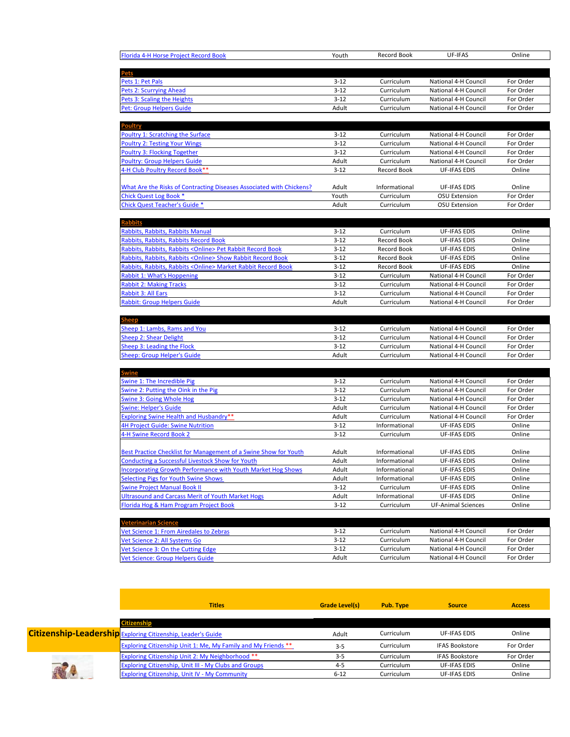| Florida 4-H Horse Project Record Book                                   | Youth              | Record Book              | UF-IFAS                                      | Online                 |
|-------------------------------------------------------------------------|--------------------|--------------------------|----------------------------------------------|------------------------|
|                                                                         |                    |                          |                                              |                        |
| <u>Pets</u>                                                             |                    |                          |                                              |                        |
| Pets 1: Pet Pals                                                        | $3 - 12$           | Curriculum               | National 4-H Council                         | For Order              |
| Pets 2: Scurrying Ahead                                                 | $3 - 12$           | Curriculum               | National 4-H Council                         | For Order              |
| Pets 3: Scaling the Heights                                             | $3 - 12$           | Curriculum               | National 4-H Council                         | For Order              |
| Pet: Group Helpers Guide                                                | Adult              | Curriculum               | National 4-H Council                         | For Order              |
|                                                                         |                    |                          |                                              |                        |
| Poultry                                                                 |                    |                          |                                              |                        |
| <b>Poultry 1: Scratching the Surface</b>                                | $3 - 12$           | Curriculum               | National 4-H Council                         | For Order              |
| <b>Poultry 2: Testing Your Wings</b>                                    | $3 - 12$           | Curriculum               | National 4-H Council                         | For Order              |
| <b>Poultry 3: Flocking Together</b>                                     | $3 - 12$           | Curriculum               | National 4-H Council                         | For Order              |
| <b>Poultry: Group Helpers Guide</b>                                     | Adult              | Curriculum               | National 4-H Council                         | For Order              |
| 4-H Club Poultry Record Book**                                          | $3 - 12$           | Record Book              | <b>UF-IFAS EDIS</b>                          | Online                 |
|                                                                         |                    |                          |                                              |                        |
| What Are the Risks of Contracting Diseases Associated with Chickens?    | Adult<br>Youth     | Informational            | UF-IFAS EDIS<br><b>OSU Extension</b>         | Online<br>For Order    |
| <b>Chick Quest Log Book *</b><br>Chick Quest Teacher's Guide *          | Adult              | Curriculum<br>Curriculum | <b>OSU Extension</b>                         | For Order              |
|                                                                         |                    |                          |                                              |                        |
| <b>Rabbits</b>                                                          |                    |                          |                                              |                        |
| Rabbits, Rabbits, Rabbits Manual                                        | $3 - 12$           | Curriculum               | <b>UF-IFAS EDIS</b>                          | Online                 |
| Rabbits, Rabbits, Rabbits Record Book                                   | $3 - 12$           | Record Book              | <b>UF-IFAS EDIS</b>                          | Online                 |
| Rabbits, Rabbits, Rabbits < Online > Pet Rabbit Record Book             | $3-12$             | Record Book              | <b>UF-IFAS EDIS</b>                          | Online                 |
| Rabbits, Rabbits, Rabbits < Online > Show Rabbit Record Book            | $3 - 12$           | Record Book              | <b>UF-IFAS EDIS</b>                          | Online                 |
| Rabbits, Rabbits, Rabbits < Online > Market Rabbit Record Book          | $3-12$             | Record Book              | <b>UF-IFAS EDIS</b>                          | Online                 |
| Rabbit 1: What's Hoppening                                              | $3 - 12$           | Curriculum               | National 4-H Council                         | For Order              |
| <b>Rabbit 2: Making Tracks</b>                                          | $3 - 12$           | Curriculum               | National 4-H Council                         | For Order              |
| <b>Rabbit 3: All Ears</b>                                               | $3 - 12$           | Curriculum               | National 4-H Council                         | For Order              |
| <b>Rabbit: Group Helpers Guide</b>                                      | Adult              | Curriculum               | National 4-H Council                         | For Order              |
|                                                                         |                    |                          |                                              |                        |
|                                                                         |                    |                          |                                              |                        |
| Sheep 1: Lambs, Rams and You                                            | $3-12$<br>$3 - 12$ | Curriculum               | National 4-H Council                         | For Order              |
| <b>Sheep 2: Shear Delight</b><br>Sheep 3: Leading the Flock             | $3 - 12$           | Curriculum<br>Curriculum | National 4-H Council<br>National 4-H Council | For Order<br>For Order |
| Sheep: Group Helper's Guide                                             | Adult              | Curriculum               | National 4-H Council                         | For Order              |
|                                                                         |                    |                          |                                              |                        |
| <u>Swine</u>                                                            |                    |                          |                                              |                        |
| <b>Swine 1: The Incredible Pig</b>                                      | $3 - 12$           | Curriculum               | National 4-H Council                         | For Order              |
| Swine 2: Putting the Oink in the Pig                                    | $3 - 12$           | Curriculum               | National 4-H Council                         | For Order              |
| <b>Swine 3: Going Whole Hog</b>                                         | $3 - 12$           |                          |                                              |                        |
|                                                                         |                    | Curriculum               | National 4-H Council                         | For Order              |
| <b>Swine: Helper's Guide</b>                                            | Adult              | Curriculum               | National 4-H Council                         | For Order              |
| <b>Exploring Swine Health and Husbandry**</b>                           | Adult              | Curriculum               | National 4-H Council                         | For Order              |
| 4H Project Guide: Swine Nutrition                                       | $3 - 12$           | Informational            | <b>UF-IFAS EDIS</b>                          | Online                 |
| 4-H Swine Record Book 2                                                 | $3 - 12$           | Curriculum               | <b>UF-IFAS EDIS</b>                          | Online                 |
|                                                                         |                    |                          |                                              |                        |
| <b>Best Practice Checklist for Management of a Swine Show for Youth</b> | Adult              | Informational            | <b>UF-IFAS EDIS</b>                          | Online                 |
| <b>Conducting a Successful Livestock Show for Youth</b>                 | Adult              | Informational            | <b>UF-IFAS EDIS</b>                          | Online                 |
| <b>Incorporating Growth Performance with Youth Market Hog Shows</b>     | Adult              | Informational            | <b>UF-IFAS EDIS</b>                          | Online                 |
| <b>Selecting Pigs for Youth Swine Shows</b>                             | Adult              | Informational            | <b>UF-IFAS EDIS</b>                          | Online                 |
| <b>Swine Project Manual Book II</b>                                     | $3 - 12$           | Curriculum               | <b>UF-IFAS EDIS</b>                          | Online                 |
| <b>Ultrasound and Carcass Merit of Youth Market Hogs</b>                | Adult              | Informational            | UF-IFAS EDIS                                 | Online                 |
| Florida Hog & Ham Program Project Book                                  | $3-12$             | Curriculum               | <b>UF-Animal Sciences</b>                    | Online                 |
|                                                                         |                    |                          |                                              |                        |
| <b>Veterinarian Science</b>                                             |                    |                          |                                              |                        |
| Vet Science 1: From Airedales to Zebras                                 | $3-12$             | Curriculum<br>Curriculum | National 4-H Council<br>National 4-H Council | For Order              |
| Vet Science 2: All Systems Go<br>/et Science 3: On the Cutting Edge     | $3-12$<br>$3 - 12$ | Curriculum               | National 4-H Council                         | For Order<br>For Order |

| <b>Titles</b>                                                        | <b>Grade Level(s)</b> | Pub. Type         | <b>Source</b>         | <b>Access</b> |
|----------------------------------------------------------------------|-----------------------|-------------------|-----------------------|---------------|
| <b>Citizenship</b>                                                   |                       |                   |                       |               |
| <b>Citizenship-Leadership</b> Exploring Citizenship, Leader's Guide  | Adult                 | Curriculum        | UF-IFAS EDIS          | Online        |
| <b>Exploring Citizenship Unit 1: Me, My Family and My Friends **</b> | $3 - 5$               | Curriculum        | <b>IFAS Bookstore</b> | For Order     |
| Exploring Citizenship Unit 2: My Neighborhood **                     | $3 - 5$               | <b>Curriculum</b> | <b>IFAS Bookstore</b> | For Order     |
| Exploring Citizenship, Unit III - My Clubs and Groups                | $4 - 5$               | <b>Curriculum</b> | <b>UF-IFAS EDIS</b>   | Online        |
| <b>Exploring Citizenship, Unit IV - My Community</b>                 | $6 - 12$              | Curriculum        | UF-IFAS EDIS          | Online        |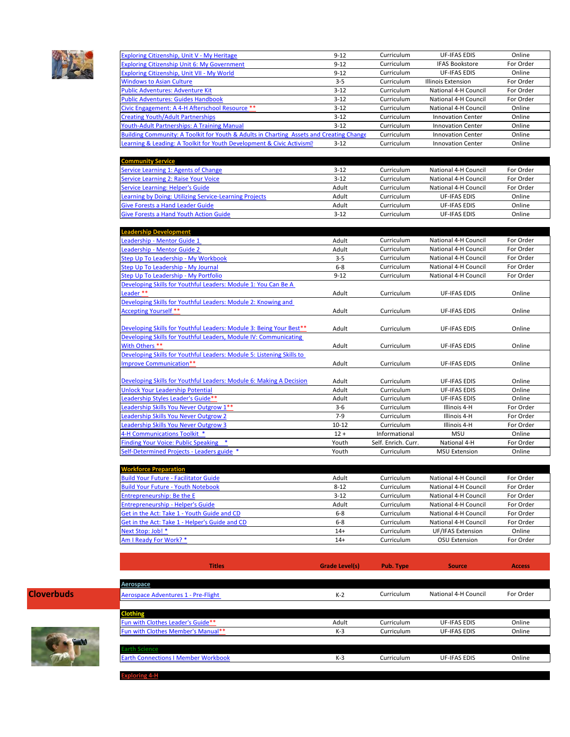

| Exploring Citizenship, Unit V - My Heritage                                             | $9 - 12$ | Curriculum | <b>UF-IFAS EDIS</b>      | Online    |
|-----------------------------------------------------------------------------------------|----------|------------|--------------------------|-----------|
| <b>Exploring Citizenship Unit 6: My Government</b>                                      | $9 - 12$ | Curriculum | <b>IFAS Bookstore</b>    | For Order |
| Exploring Citizenship, Unit VII - My World                                              | $9 - 12$ | Curriculum | <b>UF-IFAS EDIS</b>      | Online    |
| <b>Windows to Asian Culture</b>                                                         | $3 - 5$  | Curriculum | Illinois Extension       | For Order |
| <b>Public Adventures: Adventure Kit</b>                                                 | $3 - 12$ | Curriculum | National 4-H Council     | For Order |
| <b>Public Adventures: Guides Handbook</b>                                               | $3 - 12$ | Curriculum | National 4-H Council     | For Order |
| Civic Engagement: A 4-H Afterschool Resource **                                         | $3 - 12$ | Curriculum | National 4-H Council     | Online    |
| <b>Creating Youth/Adult Partnerships</b>                                                | $3 - 12$ | Curriculum | <b>Innovation Center</b> | Online    |
| <b>Youth-Adult Partnerships: A Training Manual</b>                                      | $3 - 12$ | Curriculum | <b>Innovation Center</b> | Online    |
| Building Community: A Toolkit for Youth & Adults in Charting Assets and Creating Change |          | Curriculum | <b>Innovation Center</b> | Online    |
| Learning & Leading: A Toolkit for Youth Development & Civic Activism <sup>®</sup>       | $3 - 12$ | Curriculum | <b>Innovation Center</b> | Online    |

| <b>Community Service</b>                               |          |            |                      |           |
|--------------------------------------------------------|----------|------------|----------------------|-----------|
| Service Learning 1: Agents of Change                   | $3 - 12$ | Curriculum | National 4-H Council | For Order |
| Service Learning 2: Raise Your Voice                   | $3 - 12$ | Curriculum | National 4-H Council | For Order |
| Service Learning: Helper's Guide                       | Adult    | Curriculum | National 4-H Council | For Order |
| Learning by Doing: Utilizing Service-Learning Projects | Adult    | Curriculum | <b>UF-IFAS EDIS</b>  | Online    |
| <b>Give Forests a Hand Leader Guide</b>                | Adult    | Curriculum | UF-IFAS EDIS         | Online    |
| <b>Give Forests a Hand Youth Action Guide</b>          | $3 - 12$ | Curriculum | <b>UF-IFAS EDIS</b>  | Online    |

| <b>Leadership Development</b>                                         |           |                     |                      |           |
|-----------------------------------------------------------------------|-----------|---------------------|----------------------|-----------|
| Leadership - Mentor Guide 1                                           | Adult     | Curriculum          | National 4-H Council | For Order |
| Leadership - Mentor Guide 2                                           | Adult     | Curriculum          | National 4-H Council | For Order |
| Step Up To Leadership - My Workbook                                   | $3 - 5$   | Curriculum          | National 4-H Council | For Order |
| Step Up To Leadership - My Journal                                    | $6 - 8$   | Curriculum          | National 4-H Council | For Order |
| Step Up To Leadership - My Portfolio                                  | $9 - 12$  | Curriculum          | National 4-H Council | For Order |
| Developing Skills for Youthful Leaders: Module 1: You Can Be A        |           |                     |                      |           |
| Leader **                                                             | Adult     | Curriculum          | <b>UF-IFAS EDIS</b>  | Online    |
| Developing Skills for Youthful Leaders: Module 2: Knowing and         |           |                     |                      |           |
| <b>Accepting Yourself **</b>                                          | Adult     | Curriculum          | <b>UF-IFAS EDIS</b>  | Online    |
|                                                                       |           |                     |                      |           |
| Developing Skills for Youthful Leaders: Module 3: Being Your Best**   | Adult     | Curriculum          | <b>UF-IFAS EDIS</b>  | Online    |
| Developing Skills for Youthful Leaders, Module IV: Communicating      |           |                     |                      |           |
| With Others **                                                        | Adult     | Curriculum          | <b>UF-IFAS EDIS</b>  | Online    |
| Developing Skills for Youthful Leaders: Module 5: Listening Skills to |           |                     |                      |           |
| Improve Communication**                                               | Adult     | Curriculum          | <b>UF-IFAS EDIS</b>  | Online    |
|                                                                       |           |                     |                      |           |
| Developing Skills for Youthful Leaders: Module 6: Making A Decision   | Adult     | Curriculum          | <b>UF-IFAS EDIS</b>  | Online    |
| <b>Unlock Your Leadership Potential</b>                               | Adult     | Curriculum          | <b>UF-IFAS EDIS</b>  | Online    |
| Leadership Styles Leader's Guide**                                    | Adult     | Curriculum          | <b>UF-IFAS EDIS</b>  | Online    |
| Leadership Skills You Never Outgrow 1**                               | $3 - 6$   | Curriculum          | Illinois 4-H         | For Order |
| <b>Leadership Skills You Never Outgrow 2</b>                          | $7-9$     | Curriculum          | Illinois 4-H         | For Order |
| <b>Leadership Skills You Never Outgrow 3</b>                          | $10 - 12$ | Curriculum          | Illinois 4-H         | For Order |
| 4-H Communications Toolkit *                                          | $12 +$    | Informational       | <b>MSU</b>           | Online    |
| Finding Your Voice: Public Speaking *                                 | Youth     | Self. Enrich. Curr. | National 4-H         | For Order |
| Self-Determined Projects - Leaders guide *                            | Youth     | Curriculum          | <b>MSU Extension</b> | Online    |

| <b>Workforce Preparation</b>                   |          |            |                      |           |
|------------------------------------------------|----------|------------|----------------------|-----------|
| <b>Build Your Future - Facilitator Guide</b>   | Adult    | Curriculum | National 4-H Council | For Order |
| <b>Build Your Future - Youth Notebook</b>      | $8 - 12$ | Curriculum | National 4-H Council | For Order |
| <b>Entrepreneurship: Be the E</b>              | $3 - 12$ | Curriculum | National 4-H Council | For Order |
| <b>Entrepreneurship - Helper's Guide</b>       | Adult    | Curriculum | National 4-H Council | For Order |
| Get in the Act: Take 1 - Youth Guide and CD    | $6 - 8$  | Curriculum | National 4-H Council | For Order |
| Get in the Act: Take 1 - Helper's Guide and CD | $6 - 8$  | Curriculum | National 4-H Council | For Order |
| Next Stop: Job! *                              | $14+$    | Curriculum | UF/IFAS Extension    | Online    |
| Am I Ready For Work? *                         | $14+$    | Curriculum | OSU Extension        | For Order |



|                   | <b>Titles</b>                              | <b>Grade Level(s)</b> | Pub. Type  | <b>Source</b>        | <b>Access</b> |
|-------------------|--------------------------------------------|-----------------------|------------|----------------------|---------------|
|                   | Aerospace                                  |                       |            |                      |               |
| <b>Cloverbuds</b> | Aerospace Adventures 1 - Pre-Flight        | $K-2$                 | Curriculum | National 4-H Council | For Order     |
|                   |                                            |                       |            |                      |               |
|                   | <b>Clothing</b>                            |                       |            |                      |               |
|                   | Fun with Clothes Leader's Guide**          | Adult                 | Curriculum | <b>UF-IFAS EDIS</b>  | Online        |
|                   | Fun with Clothes Member's Manual**         | $K-3$                 | Curriculum | <b>UF-IFAS EDIS</b>  | Online        |
|                   | <b>Earth Science</b>                       |                       |            |                      |               |
|                   | <b>Earth Connections I Member Workbook</b> | $K-3$                 | Curriculum | UF-IFAS EDIS         | Online        |
|                   | .                                          |                       |            |                      |               |

**Exploring 4-H**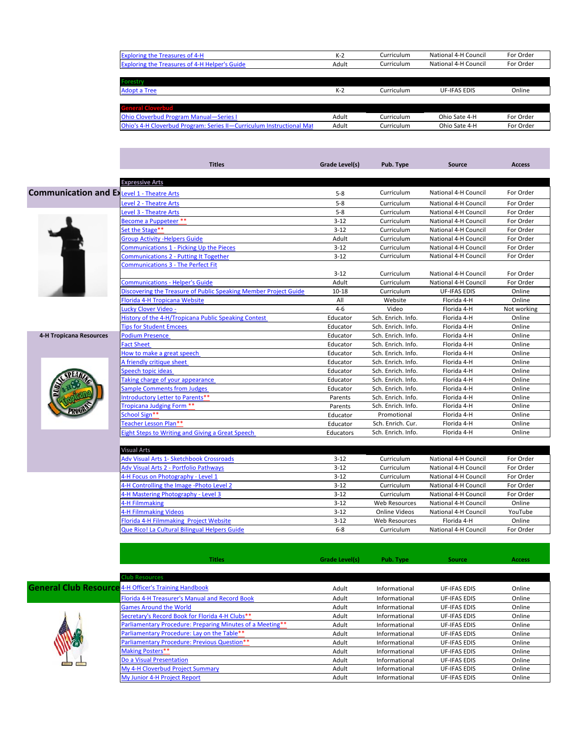| <b>Exploring the Treasures of 4-H</b>                                | $K-2$ | Curriculum | National 4-H Council | For Order |
|----------------------------------------------------------------------|-------|------------|----------------------|-----------|
| <b>Exploring the Treasures of 4-H Helper's Guide</b>                 | Adult | Curriculum | National 4-H Council | For Order |
|                                                                      |       |            |                      |           |
| <b>Forestry</b>                                                      |       |            |                      |           |
| <b>Adopt a Tree</b>                                                  | $K-2$ | Curriculum | <b>UF-IFAS EDIS</b>  | Online    |
|                                                                      |       |            |                      |           |
| <b>General Cloverbud</b>                                             |       |            |                      |           |
| <b>Ohio Cloverbud Program Manual-Series I</b>                        | Adult | Curriculum | Ohio Sate 4-H        | For Order |
| Ohio's 4-H Cloverbud Program: Series II-Curriculum Instructional Mat | Adult | Curriculum | Ohio Sate 4-H        | For Order |
|                                                                      |       |            |                      |           |

|                                                    | <b>Titles</b>                                                    | Grade Level(s) | Pub. Type          | <b>Source</b>        | <b>Access</b> |
|----------------------------------------------------|------------------------------------------------------------------|----------------|--------------------|----------------------|---------------|
|                                                    |                                                                  |                |                    |                      |               |
|                                                    | <b>Expressive Arts</b>                                           |                |                    |                      |               |
| <b>Communication and Ex Level 1 - Theatre Arts</b> |                                                                  | $5-8$          | Curriculum         | National 4-H Council | For Order     |
|                                                    | <b>Level 2 - Theatre Arts</b>                                    | $5 - 8$        | Curriculum         | National 4-H Council | For Order     |
|                                                    | <b>Level 3 - Theatre Arts</b>                                    | $5 - 8$        | Curriculum         | National 4-H Council | For Order     |
|                                                    | Become a Puppeteer **                                            | $3 - 12$       | Curriculum         | National 4-H Council | For Order     |
|                                                    | Set the Stage**                                                  | $3 - 12$       | Curriculum         | National 4-H Council | For Order     |
|                                                    | <b>Group Activity - Helpers Guide</b>                            | Adult          | Curriculum         | National 4-H Council | For Order     |
|                                                    | <b>Communications 1 - Picking Up the Pieces</b>                  | $3 - 12$       | Curriculum         | National 4-H Council | For Order     |
|                                                    | <b>Communications 2 - Putting It Together</b>                    | $3 - 12$       | Curriculum         | National 4-H Council | For Order     |
|                                                    | <b>Communications 3 - The Perfect Fit</b>                        |                |                    |                      |               |
|                                                    |                                                                  | $3 - 12$       | Curriculum         | National 4-H Council | For Order     |
|                                                    | <b>Communications - Helper's Guide</b>                           | Adult          | Curriculum         | National 4-H Council | For Order     |
|                                                    | Discovering the Treasure of Public Speaking Member Project Guide | $10 - 18$      | Curriculum         | <b>UF-IFAS EDIS</b>  | Online        |
|                                                    | Florida 4-H Tropicana Website                                    | All            | Website            | Florida 4-H          | Online        |
|                                                    | Lucky Clover Video -                                             | $4-6$          | Video              | Florida 4-H          | Not working   |
|                                                    | History of the 4-H/Tropicana Public Speaking Contest             | Educator       | Sch. Enrich. Info. | Florida 4-H          | Online        |
|                                                    | <b>Tips for Student Emcees</b>                                   | Educator       | Sch. Enrich. Info. | Florida 4-H          | Online        |
| 4-H Tropicana Resources                            | <b>Podium Presence</b>                                           | Educator       | Sch. Enrich. Info. | Florida 4-H          | Online        |
|                                                    | <b>Fact Sheet</b>                                                | Educator       | Sch. Enrich. Info. | Florida 4-H          | Online        |
|                                                    | How to make a great speech                                       | Educator       | Sch. Enrich. Info. | Florida 4-H          | Online        |
|                                                    | A friendly critique sheet                                        | Educator       | Sch. Enrich. Info. | Florida 4-H          | Online        |
|                                                    | Speech topic ideas                                               | Educator       | Sch. Enrich. Info. | Florida 4-H          | Online        |
|                                                    | Taking charge of your appearance                                 | Educator       | Sch. Enrich. Info. | Florida 4-H          | Online        |
|                                                    | <b>Sample Comments from Judges</b>                               | Educator       | Sch. Enrich. Info. | Florida 4-H          | Online        |
|                                                    | Introductory Letter to Parents**                                 | Parents        | Sch. Enrich. Info. | Florida 4-H          | Online        |
|                                                    | Tropicana Judging Form **                                        | Parents        | Sch. Enrich. Info. | Florida 4-H          | Online        |
|                                                    | School Sign**                                                    | Educator       | Promotional        | Florida 4-H          | Online        |
|                                                    | Teacher Lesson Plan**                                            | Educator       | Sch. Enrich. Cur.  | Florida 4-H          | Online        |
|                                                    | Eight Steps to Writing and Giving a Great Speech                 | Educators      | Sch. Enrich. Info. | Florida 4-H          | Online        |

| Visual Arts                                   |          |                      |                      |           |
|-----------------------------------------------|----------|----------------------|----------------------|-----------|
| Adv Visual Arts 1- Sketchbook Crossroads      | $3 - 12$ | Curriculum           | National 4-H Council | For Order |
| Adv Visual Arts 2 - Portfolio Pathways        | $3 - 12$ | Curriculum           | National 4-H Council | For Order |
| 4-H Focus on Photography - Level 1            | $3 - 12$ | Curriculum           | National 4-H Council | For Order |
| 4-H Controlling the Image -Photo Level 2      | $3 - 12$ | Curriculum           | National 4-H Council | For Order |
| 4-H Mastering Photography - Level 3           | $3 - 12$ | Curriculum           | National 4-H Council | For Order |
| 4-H Filmmaking                                | $3 - 12$ | <b>Web Resources</b> | National 4-H Council | Online    |
| 4-H Filmmaking Videos                         | $3 - 12$ | Online Videos        | National 4-H Council | YouTube   |
| Florida 4-H Filmmaking Project Website        | $3 - 12$ | Web Resources        | Florida 4-H          | Online    |
| Que Rico! La Cultural Bilingual Helpers Guide | $6 - 8$  | Curriculum           | National 4-H Council | For Order |

| ieneral Club Resource |  |
|-----------------------|--|
|                       |  |

|                                                              | <b>Titles</b>                                             | Grade Level(s) | Pub. Type     | <b>Source</b>       | <b>Access</b> |
|--------------------------------------------------------------|-----------------------------------------------------------|----------------|---------------|---------------------|---------------|
|                                                              |                                                           |                |               |                     |               |
|                                                              | <b>Club Resources</b>                                     |                |               |                     |               |
| <b>General Club Resource 4-H Officer's Training Handbook</b> |                                                           | Adult          | Informational | <b>UF-IFAS EDIS</b> | Online        |
|                                                              | Florida 4-H Treasurer's Manual and Record Book            | Adult          | Informational | <b>UF-IFAS EDIS</b> | Online        |
|                                                              | <b>Games Around the World</b>                             | Adult          | Informational | <b>UF-IFAS EDIS</b> | Online        |
|                                                              | Secretary's Record Book for Florida 4-H Clubs**           | Adult          | Informational | <b>UF-IFAS EDIS</b> | Online        |
|                                                              | Parliamentary Procedure: Preparing Minutes of a Meeting** | Adult          | Informational | <b>UF-IFAS EDIS</b> | Online        |
|                                                              | Parliamentary Procedure: Lay on the Table**               | Adult          | Informational | <b>UF-IFAS EDIS</b> | Online        |
|                                                              | <b>Parliamentary Procedure: Previous Question**</b>       | Adult          | Informational | <b>UF-IFAS EDIS</b> | Online        |
|                                                              | <b>Making Posters**</b>                                   | Adult          | Informational | <b>UF-IFAS EDIS</b> | Online        |
|                                                              | Do a Visual Presentation                                  | Adult          | Informational | <b>UF-IFAS EDIS</b> | Online        |
|                                                              | My 4-H Cloverbud Project Summary                          | Adult          | Informational | <b>UF-IFAS EDIS</b> | Online        |
|                                                              | My Junior 4-H Project Report                              | Adult          | Informational | <b>UF-IFAS EDIS</b> | Online        |
|                                                              |                                                           |                |               |                     |               |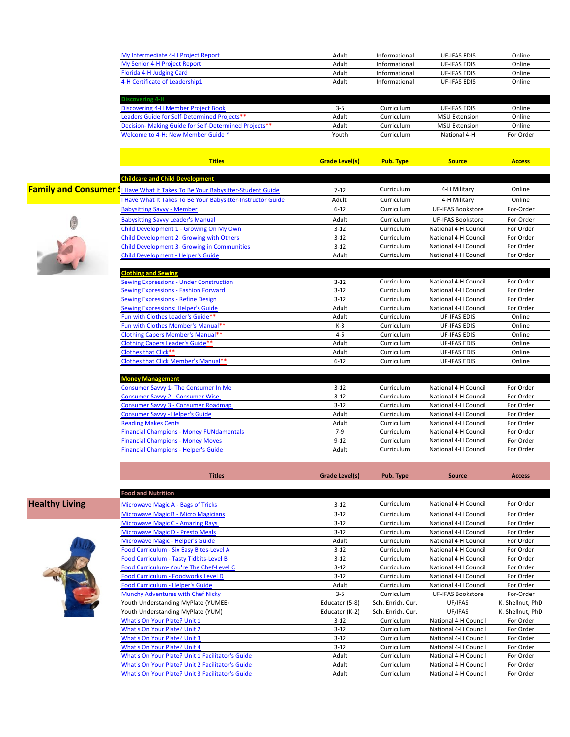| My Intermediate 4-H Project Report | Adult | Informational | UF-IFAS EDIS        | Online |
|------------------------------------|-------|---------------|---------------------|--------|
| My Senior 4-H Project Report       | Adult | Informational | <b>UF-IFAS EDIS</b> | Online |
| Florida 4-H Judging Card           | Adult | Informational | <b>UF-IFAS EDIS</b> | Online |
| 4-H Certificate of Leadership1     | Adult | Informational | UF-IFAS EDIS        | Online |
|                                    |       |               |                     |        |

| <b>Discovering 4-H</b>                               |       |            |                      |           |
|------------------------------------------------------|-------|------------|----------------------|-----------|
| Discovering 4-H Member Project Book                  | 3-5   | Curriculum | <b>UF-IFAS EDIS</b>  | Online    |
| <b>Leaders Guide for Self-Determined Projects**</b>  | Adult | Curriculum | <b>MSU Extension</b> | Online    |
| Decision-Making Guide for Self-Determined Projects** | Adult | Curriculum | <b>MSU Extension</b> | Online    |
| Welcome to 4-H: New Member Guide *                   | Youth | Curriculum | National 4-H         | For Order |
|                                                      |       |            |                      |           |

**Titles Grade Level(s) Pub. Type Source Access**



| <b>Childcare and Child Development</b>                    |                |            |                          |               |
|-----------------------------------------------------------|----------------|------------|--------------------------|---------------|
| I Have What It Takes To Be Your Babysitter-Student Guide  | $7 - 12$       | Curriculum | 4-H Military             | Online        |
| Have What It Takes To Be Your Babysitter-Instructor Guide | Adult          | Curriculum | 4-H Military             | Online        |
| <b>Babysitting Savvy - Member</b>                         | $6 - 12$       | Curriculum | <b>UF-IFAS Bookstore</b> | For-Order     |
| <b>Babysitting Savvy Leader's Manual</b>                  | Adult          | Curriculum | <b>UF-IFAS Bookstore</b> | For-Order     |
| Child Development 1 - Growing On My Own                   | $3 - 12$       | Curriculum | National 4-H Council     | For Order     |
| <b>Child Development 2- Growing with Others</b>           | $3-12$         | Curriculum | National 4-H Council     | For Order     |
| <b>Child Development 3- Growing in Communities</b>        | $3 - 12$       | Curriculum | National 4-H Council     | For Order     |
| <b>Child Development - Helper's Guide</b>                 | Adult          | Curriculum | National 4-H Council     | For Order     |
| <b>Clothing and Sewing</b>                                |                |            |                          |               |
| <b>Sewing Expressions - Under Construction</b>            | $3 - 12$       | Curriculum | National 4-H Council     | For Order     |
| <b>Sewing Expressions - Fashion Forward</b>               | $3 - 12$       | Curriculum | National 4-H Council     | For Order     |
| Sewing Expressions - Refine Design                        | $3 - 12$       | Curriculum | National 4-H Council     | For Order     |
| <b>Sewing Expressions: Helper's Guide</b>                 | Adult          | Curriculum | National 4-H Council     | For Order     |
| Fun with Clothes Leader's Guide**                         | Adult          | Curriculum | <b>UF-IFAS EDIS</b>      | Online        |
| Fun with Clothes Member's Manual**                        | $K-3$          | Curriculum | <b>UF-IFAS EDIS</b>      | Online        |
| <b>Clothing Capers Member's Manual**</b>                  | $4 - 5$        | Curriculum | <b>UF-IFAS EDIS</b>      | Online        |
| Clothing Capers Leader's Guide**                          | Adult          | Curriculum | UF-IFAS EDIS             | Online        |
| <b>Clothes that Click**</b>                               | Adult          | Curriculum | <b>UF-IFAS EDIS</b>      | Online        |
| Clothes that Click Member's Manual**                      | $6 - 12$       | Curriculum | <b>UF-IFAS EDIS</b>      | Online        |
|                                                           |                |            |                          |               |
| <b>Money Management</b>                                   |                |            |                          |               |
| Consumer Savvy 1- The Consumer In Me                      | $3 - 12$       | Curriculum | National 4-H Council     | For Order     |
| <b>Consumer Savvy 2 - Consumer Wise</b>                   | $3 - 12$       | Curriculum | National 4-H Council     | For Order     |
| Consumer Savvy 3 - Consumer Roadmap                       | $3 - 12$       | Curriculum | National 4-H Council     | For Order     |
| Consumer Savvy - Helper's Guide                           | Adult          | Curriculum | National 4-H Council     | For Order     |
| <b>Reading Makes Cents</b>                                | Adult          | Curriculum | National 4-H Council     | For Order     |
| <b>Financial Champions - Money FUNdamentals</b>           | $7-9$          | Curriculum | National 4-H Council     | For Order     |
| <b>Financial Champions - Money Moves</b>                  | $9 - 12$       | Curriculum | National 4-H Council     | For Order     |
| <b>Financial Champions - Helper's Guide</b>               | Adult          | Curriculum | National 4-H Council     | For Order     |
| <b>Titles</b>                                             | Grade Level(s) | Pub. Type  | <b>Source</b>            | <b>Access</b> |
|                                                           |                |            |                          |               |
| <b>Food and Nutrition</b>                                 |                |            |                          |               |
| Microwave Magic A - Bags of Tricks                        | $3 - 12$       | Curriculum | National 4-H Council     | For Order     |
| Microwave Magic B - Micro Magicians                       | $3 - 12$       | Curriculum | National 4-H Council     | For Order     |
| <b>Microwave Magic C - Amazing Rays</b>                   | $3 - 12$       | Curriculum | National 4-H Council     | For Order     |
| Microwave Magic D - Presto Meals                          | $3 - 12$       | Curriculum | National 4-H Council     | For Order     |
| Microwave Magic - Helper's Guide                          | Adult          | Curriculum | National 4-H Council     | For Order     |
| <b>Ennd Curriculum - Six Eacy Rites-Loyal A</b>           | $2 - 12$       | Curriculum | National A-H Council     | For Order     |



**Healthy Living** 

| <b>Food and Nutrition</b>                        |                |                   |                          |                  |
|--------------------------------------------------|----------------|-------------------|--------------------------|------------------|
| Microwave Magic A - Bags of Tricks               | $3 - 12$       | Curriculum        | National 4-H Council     | For Order        |
| Microwave Magic B - Micro Magicians              | $3 - 12$       | Curriculum        | National 4-H Council     | For Order        |
| <b>Microwave Magic C - Amazing Rays</b>          | $3 - 12$       | Curriculum        | National 4-H Council     | For Order        |
| <b>Microwave Magic D - Presto Meals</b>          | $3 - 12$       | Curriculum        | National 4-H Council     | For Order        |
| Microwave Magic - Helper's Guide                 | Adult          | Curriculum        | National 4-H Council     | For Order        |
| Food Curriculum - Six Easy Bites-Level A         | $3 - 12$       | Curriculum        | National 4-H Council     | For Order        |
| Food Curriculum - Tasty Tidbits-Level B          | $3 - 12$       | Curriculum        | National 4-H Council     | For Order        |
| Food Curriculum-You're The Chef-Level C          | $3 - 12$       | Curriculum        | National 4-H Council     | For Order        |
| Food Curriculum - Foodworks Level D              | $3 - 12$       | Curriculum        | National 4-H Council     | For Order        |
| Food Curriculum - Helper's Guide                 | Adult          | Curriculum        | National 4-H Council     | For Order        |
| Munchy Adventures with Chef Nicky                | $3 - 5$        | Curriculum        | <b>UF-IFAS Bookstore</b> | For-Order        |
| Youth Understanding MyPlate (YUMEE)              | Educator (5-8) | Sch. Enrich. Cur. | UF/IFAS                  | K. Shellnut, PhD |
| Youth Understanding MyPlate (YUM)                | Educator (K-2) | Sch. Enrich. Cur. | UF/IFAS                  | K. Shellnut, PhD |
| What's On Your Plate? Unit 1                     | $3 - 12$       | Curriculum        | National 4-H Council     | For Order        |
| What's On Your Plate? Unit 2                     | $3 - 12$       | Curriculum        | National 4-H Council     | For Order        |
| <b>What's On Your Plate? Unit 3</b>              | $3 - 12$       | Curriculum        | National 4-H Council     | For Order        |
| What's On Your Plate? Unit 4                     | $3 - 12$       | Curriculum        | National 4-H Council     | For Order        |
| What's On Your Plate? Unit 1 Facilitator's Guide | Adult          | Curriculum        | National 4-H Council     | For Order        |
| What's On Your Plate? Unit 2 Facilitator's Guide | Adult          | Curriculum        | National 4-H Council     | For Order        |
| What's On Your Plate? Unit 3 Facilitator's Guide | Adult          | Curriculum        | National 4-H Council     | For Order        |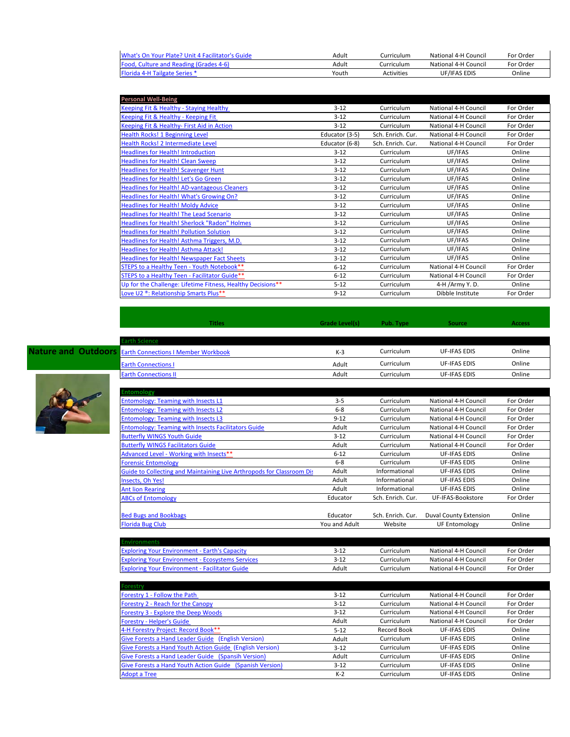| What's On Your Plate? Unit 4 Facilitator's Guide | Adult | Curriculum | National 4-H Council | For Order |
|--------------------------------------------------|-------|------------|----------------------|-----------|
| <b>Food, Culture and Reading (Grades 4-6)</b>    | Adult | Curriculum | National 4-H Council | For Order |
| <b>Florida 4-H Tailgate Series *</b>             | Youth | Activities | UF/IFAS EDIS         | Online    |

| <b>Personal Well-Being</b>                                  |                |                   |                      |           |
|-------------------------------------------------------------|----------------|-------------------|----------------------|-----------|
| Keeping Fit & Healthy - Staying Healthy                     | $3 - 12$       | Curriculum        | National 4-H Council | For Order |
| Keeping Fit & Healthy - Keeping Fit                         | $3 - 12$       | Curriculum        | National 4-H Council | For Order |
| Keeping Fit & Healthy- First Aid in Action                  | $3 - 12$       | Curriculum        | National 4-H Council | For Order |
| Health Rocks! 1 Beginning Level                             | Educator (3-5) | Sch. Enrich. Cur. | National 4-H Council | For Order |
| Health Rocks! 2 Intermediate Level                          | Educator (6-8) | Sch. Enrich. Cur. | National 4-H Council | For Order |
| <b>Headlines for Health! Introduction</b>                   | $3 - 12$       | Curriculum        | UF/IFAS              | Online    |
| <b>Headlines for Health! Clean Sweep</b>                    | $3 - 12$       | Curriculum        | UF/IFAS              | Online    |
| <b>Headlines for Health! Scavenger Hunt</b>                 | $3 - 12$       | Curriculum        | UF/IFAS              | Online    |
| Headlines for Health! Let's Go Green                        | $3 - 12$       | Curriculum        | UF/IFAS              | Online    |
| <b>Headlines for Health! AD-vantageous Cleaners</b>         | $3 - 12$       | Curriculum        | UF/IFAS              | Online    |
| Headlines for Health! What's Growing On?                    | $3 - 12$       | Curriculum        | UF/IFAS              | Online    |
| <b>Headlines for Health! Moldy Advice</b>                   | $3 - 12$       | Curriculum        | UF/IFAS              | Online    |
| <b>Headlines for Health! The Lead Scenario</b>              | $3 - 12$       | Curriculum        | UF/IFAS              | Online    |
| <b>Headlines for Health! Sherlock "Radon" Holmes</b>        | $3 - 12$       | Curriculum        | UF/IFAS              | Online    |
| <b>Headlines for Health! Pollution Solution</b>             | $3 - 12$       | Curriculum        | UF/IFAS              | Online    |
| Headlines for Health! Asthma Triggers, M.D.                 | $3 - 12$       | Curriculum        | UF/IFAS              | Online    |
| Headlines for Health! Asthma Attack!                        | $3 - 12$       | Curriculum        | UF/IFAS              | Online    |
| <b>Headlines for Health! Newspaper Fact Sheets</b>          | $3 - 12$       | Curriculum        | UF/IFAS              | Online    |
| STEPS to a Healthy Teen - Youth Notebook**                  | $6 - 12$       | Curriculum        | National 4-H Council | For Order |
| STEPS to a Healthy Teen - Facilitator Guide**               | $6 - 12$       | Curriculum        | National 4-H Council | For Order |
| Up for the Challenge: Lifetime Fitness, Healthy Decisions** | $5 - 12$       | Curriculum        | 4-H /Army Y.D.       | Online    |
| Love U2 ®: Relationship Smarts Plus**                       | $9 - 12$       | Curriculum        | Dibble Institute     | For Order |



**Nature and Outdoo** 

| <b>Titles</b>                                                         | Grade Level(s) | Pub. Type         | Source                        | <b>Access</b> |
|-----------------------------------------------------------------------|----------------|-------------------|-------------------------------|---------------|
| <b>Earth Science</b>                                                  |                |                   |                               |               |
| <b>Earth Connections I Member Workbook</b>                            | $K-3$          | Curriculum        | <b>UF-IFAS EDIS</b>           | Online        |
| <b>Earth Connections I</b>                                            | Adult          | Curriculum        | <b>UF-IFAS EDIS</b>           | Online        |
| <b>Earth Connections II</b>                                           | Adult          | Curriculum        | <b>UF-IFAS EDIS</b>           | Online        |
| <b>Entomology</b>                                                     |                |                   |                               |               |
| <b>Entomology: Teaming with Insects L1</b>                            | $3 - 5$        | Curriculum        | National 4-H Council          | For Order     |
| <b>Entomology: Teaming with Insects L2</b>                            | $6 - 8$        | Curriculum        | National 4-H Council          | For Order     |
| <b>Entomology: Teaming with Insects L3</b>                            | $9 - 12$       | Curriculum        | National 4-H Council          | For Order     |
| <b>Entomology: Teaming with Insects Facilitators Guide</b>            | Adult          | Curriculum        | National 4-H Council          | For Order     |
| <b>Butterfly WINGS Youth Guide</b>                                    | $3 - 12$       | Curriculum        | National 4-H Council          | For Order     |
| <b>Butterfly WINGS Facilitators Guide</b>                             | Adult          | Curriculum        | National 4-H Council          | For Order     |
| Advanced Level - Working with Insects**                               | $6 - 12$       | Curriculum        | <b>UF-IFAS EDIS</b>           | Online        |
| <b>Forensic Entomology</b>                                            | $6 - 8$        | Curriculum        | <b>UF-IFAS EDIS</b>           | Online        |
| Guide to Collecting and Maintaining Live Arthropods for Classroom Dis | Adult          | Informational     | <b>UF-IFAS EDIS</b>           | Online        |
| Insects, Oh Yes!                                                      | Adult          | Informational     | <b>UF-IFAS EDIS</b>           | Online        |
| <b>Ant lion Rearing</b>                                               | Adult          | Informational     | <b>UF-IFAS EDIS</b>           | Online        |
| <b>ABCs of Entomology</b>                                             | Educator       | Sch. Enrich. Cur. | <b>UF-IFAS-Bookstore</b>      | For Order     |
| <b>Bed Bugs and Bookbags</b>                                          | Educator       | Sch. Enrich. Cur. | <b>Duval County Extension</b> | Online        |
| <b>Florida Bug Club</b>                                               | You and Adult  | Website           | <b>UF Entomology</b>          | Online        |

| <b>Exploring Your Environment - Earth's Capacity</b>    | 3-12  | Curriculum | National 4-H Council | For Order |
|---------------------------------------------------------|-------|------------|----------------------|-----------|
| <b>Exploring Your Environment - Ecosystems Services</b> | 3-12  | Curriculum | National 4-H Council | For Order |
| <b>Exploring Your Environment - Facilitator Guide</b>   | Adult | Curriculum | National 4-H Council | For Order |

| Forestry                                                 |          |             |                      |           |
|----------------------------------------------------------|----------|-------------|----------------------|-----------|
| Forestry 1 - Follow the Path                             | $3 - 12$ | Curriculum  | National 4-H Council | For Order |
| Forestry 2 - Reach for the Canopy                        | $3 - 12$ | Curriculum  | National 4-H Council | For Order |
| Forestry 3 - Explore the Deep Woods                      | $3 - 12$ | Curriculum  | National 4-H Council | For Order |
| <b>Forestry - Helper's Guide</b>                         | Adult    | Curriculum  | National 4-H Council | For Order |
| 4-H Forestry Project: Record Book**                      | $5 - 12$ | Record Book | <b>UF-IFAS EDIS</b>  | Online    |
| Give Forests a Hand Leader Guide (English Version)       | Adult    | Curriculum  | UF-IFAS EDIS         | Online    |
| Give Forests a Hand Youth Action Guide (English Version) | $3 - 12$ | Curriculum  | <b>UF-IFAS EDIS</b>  | Online    |
| Give Forests a Hand Leader Guide (Spansih Version)       | Adult    | Curriculum  | <b>UF-IFAS EDIS</b>  | Online    |
| Give Forests a Hand Youth Action Guide (Spanish Version) | $3 - 12$ | Curriculum  | <b>UF-IFAS EDIS</b>  | Online    |
| <b>Adopt a Tree</b>                                      | $K-2$    | Curriculum  | <b>UF-IFAS EDIS</b>  | Online    |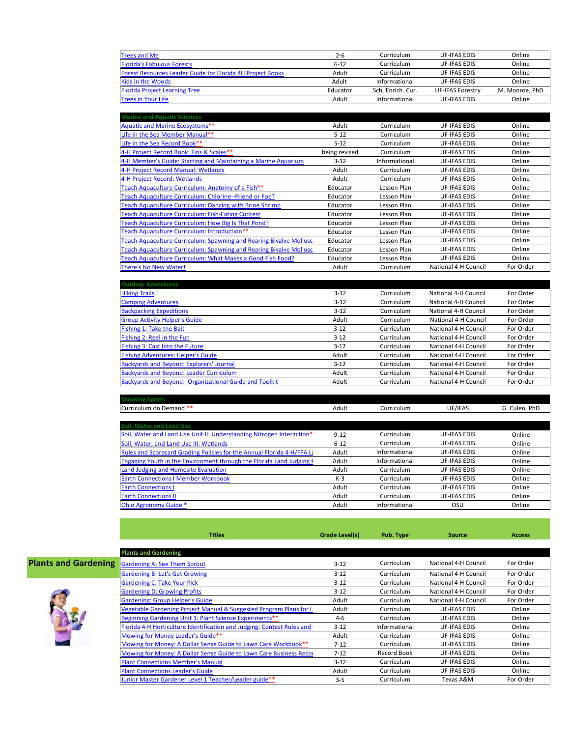| <b>Trees and Me</b>                                               | $2 - 6$  | Curriculum        | <b>UF-IFAS EDIS</b>     | Online         |
|-------------------------------------------------------------------|----------|-------------------|-------------------------|----------------|
| <b>Florida's Fabulous Forests</b>                                 | $6 - 12$ | Curriculum        | <b>UF-IFAS EDIS</b>     | Online         |
| <b>Forest Resources Leader Guide for Florida 4H Project Books</b> | Adult    | Curriculum        | <b>UF-IFAS EDIS</b>     | Online         |
| <b>Kids in the Woods</b>                                          | Adult    | Informational     | UF-IFAS EDIS            | Online         |
| <b>Florida Project Learning Tree</b>                              | Educator | Sch. Enrich. Cur. | <b>UF-IFAS Forestry</b> | M. Monroe, PhD |
| <b>Trees in Your Life</b>                                         | Adult    | Informational     | UF-IFAS EDIS            | Online         |

| <b>Marine and Aquatic Sciences</b>                                 |               |               |                      |           |
|--------------------------------------------------------------------|---------------|---------------|----------------------|-----------|
| Aquatic and Marine Ecosystems**                                    | Adult         | Curriculum    | <b>UF-IFAS EDIS</b>  | Online    |
| Life in the Sea Member Manual**                                    | $5 - 12$      | Curriculum    | <b>UF-IFAS EDIS</b>  | Online    |
| Life in the Sea Record Book**                                      | $5 - 12$      | Curriculum    | <b>UF-IFAS EDIS</b>  | Online    |
| 4-H Project Record Book: Fins & Scales**                           | being revised | Curriculum    | <b>UF-IFAS EDIS</b>  | Online    |
| 4-H Member's Guide: Starting and Maintaining a Marine Aquarium     | $3 - 12$      | Informational | <b>UF-IFAS EDIS</b>  | Online    |
| 4-H Project Record Manual: Wetlands                                | Adult         | Curriculum    | <b>UF-IFAS EDIS</b>  | Online    |
| 4-H Project Record: Wetlands                                       | Adult         | Curriculum    | <b>UF-IFAS EDIS</b>  | Online    |
| Teach Aquaculture Curriculum: Anatomy of a Fish**                  | Educator      | Lesson Plan   | <b>UF-IFAS EDIS</b>  | Online    |
| Teach Aquaculture Curriculum: Chlorine--Friend or Foe?             | Educator      | Lesson Plan   | <b>UF-IFAS EDIS</b>  | Online    |
| Teach Aquaculture Curriculum: Dancing with Brine Shrimp            | Educator      | Lesson Plan   | <b>UF-IFAS EDIS</b>  | Online    |
| Teach Aquaculture Curriculum: Fish-Eating Contest                  | Educator      | Lesson Plan   | <b>UF-IFAS EDIS</b>  | Online    |
| Teach Aquaculture Curriculum: How Big Is That Pond?                | Educator      | Lesson Plan   | <b>UF-IFAS EDIS</b>  | Online    |
| Teach Aquaculture Curriculum: Introduction**                       | Educator      | Lesson Plan   | <b>UF-IFAS EDIS</b>  | Online    |
| Teach Aquaculture Curriculum: Spawning and Rearing Bivalve Mollusc | Educator      | Lesson Plan   | <b>UF-IFAS EDIS</b>  | Online    |
| Teach Aquaculture Curriculum: Spawning and Rearing Bivalve Mollusc | Educator      | Lesson Plan   | <b>UF-IFAS EDIS</b>  | Online    |
| Teach Aquaculture Curriculum: What Makes a Good Fish Food?         | Educator      | Lesson Plan   | <b>UF-IFAS EDIS</b>  | Online    |
| There's No New Water!                                              | Adult         | Curriculum    | National 4-H Council | For Order |

| <b>Outdoor Adventures</b>                              |          |            |                      |           |
|--------------------------------------------------------|----------|------------|----------------------|-----------|
| <b>Hiking Trails</b>                                   | $3 - 12$ | Curriculum | National 4-H Council | For Order |
| <b>Camping Adventures</b>                              | $3 - 12$ | Curriculum | National 4-H Council | For Order |
| <b>Backpacking Expeditions</b>                         | $3 - 12$ | Curriculum | National 4-H Council | For Order |
| <b>Group Activity Helper's Guide</b>                   | Adult    | Curriculum | National 4-H Council | For Order |
| Fishing 1: Take the Bait                               | $3 - 12$ | Curriculum | National 4-H Council | For Order |
| Fishing 2: Reel in the Fun                             | $3-12$   | Curriculum | National 4-H Council | For Order |
| Fishing 3: Cast Into the Future                        | $3 - 12$ | Curriculum | National 4-H Council | For Order |
| <b>Fishing Adventures: Helper's Guide</b>              | Adult    | Curriculum | National 4-H Council | For Order |
| <b>Backyards and Beyond: Explorers' Journal</b>        | $3 - 12$ | Curriculum | National 4-H Council | For Order |
| <b>Backyards and Beyond: Leader Curriculum</b>         | Adult    | Curriculum | National 4-H Council | For Order |
| Backyards and Beyond: Organizational Guide and Toolkit | Adult    | Curriculum | National 4-H Council | For Order |

| Curriculum on Demand **                                                | Adult    | Curriculum    | UF/IFAS             | G. Culen, PhD |
|------------------------------------------------------------------------|----------|---------------|---------------------|---------------|
|                                                                        |          |               |                     |               |
| Soil, Water and Land Use                                               |          |               |                     |               |
| Soil, Water and Land Use Unit II: Understanding Nitrogen Interaction*  | $9 - 12$ | Curriculum    | <b>UF-IFAS EDIS</b> | Online        |
| Soil, Water, and Land Use III: Wetlands                                | $6 - 12$ | Curriculum    | <b>UF-IFAS EDIS</b> | Online        |
| Rules and Scorecard Grading Policies for the Annual Florida 4-H/FFA La | Adult    | Informational | <b>UF-IFAS EDIS</b> | Online        |
| Engaging Youth in the Environment through the Florida Land Judging F   | Adult    | Informational | <b>UF-IFAS EDIS</b> | Online        |
| Land Judging and Homesite Evaluation                                   | Adult    | Curriculum    | <b>UF-IFAS EDIS</b> | Online        |
| <b>Earth Connections I Member Workbook</b>                             | $K-3$    | Curriculum    | <b>UF-IFAS EDIS</b> | Online        |
| <b>Earth Connections I</b>                                             | Adult    | Curriculum    | <b>UF-IFAS EDIS</b> | Online        |
| <b>Earth Connections II</b>                                            | Adult    | Curriculum    | <b>UF-IFAS EDIS</b> | Online        |
| Ohio Agronomy Guide *                                                  | Adult    | Informational | OSU                 | Online        |

**Shooting Sports** 

**Contract** 

|                             | <b>Titles</b>                                                          | Grade Level(s) | Pub. Type     | <b>Source</b>        | <b>Access</b> |
|-----------------------------|------------------------------------------------------------------------|----------------|---------------|----------------------|---------------|
|                             | <b>Plants and Gardening</b>                                            |                |               |                      |               |
| <b>Plants and Gardening</b> | <b>Gardening A: See Them Sprout</b>                                    | $3 - 12$       | Curriculum    | National 4-H Council | For Order     |
|                             | <b>Gardening B: Let's Get Growing</b>                                  | $3 - 12$       | Curriculum    | National 4-H Council | For Order     |
|                             | <b>Gardening C: Take Your Pick</b>                                     | $3 - 12$       | Curriculum    | National 4-H Council | For Order     |
|                             | <b>Gardening D: Growing Profits</b>                                    | $3 - 12$       | Curriculum    | National 4-H Council | For Order     |
|                             | <b>Gardening: Group Helper's Guide</b>                                 | Adult          | Curriculum    | National 4-H Council | For Order     |
|                             | Vegetable Gardening Project Manual & Suggested Program Plans for L     | Adult          | Curriculum    | <b>UF-IFAS EDIS</b>  | Online        |
|                             | Beginning Gardening Unit 1: Plant Science Experiments**                | $4-6$          | Curriculum    | UF-IFAS EDIS         | Online        |
|                             | Florida 4-H Horticulture Identification and Judging: Contest Rules and | $3 - 12$       | Informational | UF-IFAS EDIS         | Online        |
|                             | Mowing for Money Leader's Guide**                                      | Adult          | Curriculum    | UF-IFAS EDIS         | Online        |
|                             | Mowing for Money: A Dollar Sense Guide to Lawn Care Workbook**         | $7 - 12$       | Curriculum    | UF-IFAS EDIS         | Online        |
|                             | Mowing for Money: A Dollar Sense Guide to Lawn Care Business Recor     | $7 - 12$       | Record Book   | UF-IFAS EDIS         | Online        |
|                             | <b>Plant Connections Member's Manual</b>                               | $3 - 12$       | Curriculum    | UF-IFAS EDIS         | Online        |
|                             | <b>Plant Connections Leader's Guide</b>                                | Adult          | Curriculum    | <b>UF-IFAS EDIS</b>  | Online        |
|                             | Junior Master Gardener Level 1 Teacher/Leader guide <sup>**</sup>      | $3 - 5$        | Curriculum    | Texas A&M            | For Order     |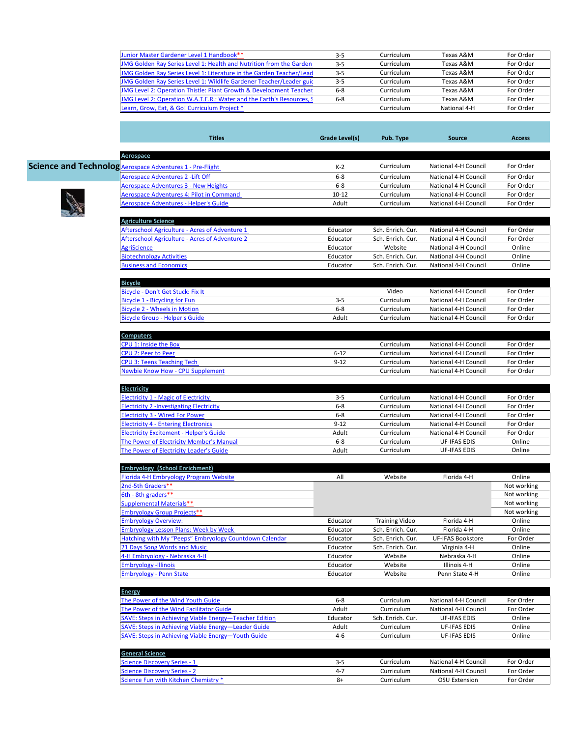|                  | Junior Master Gardener Level 1 Handbook**                                    | $3 - 5$        | Curriculum               | Texas A&M                                    | For Order              |
|------------------|------------------------------------------------------------------------------|----------------|--------------------------|----------------------------------------------|------------------------|
|                  | IMG Golden Ray Series Level 1: Health and Nutrition from the Garden          | $3 - 5$        | Curriculum               | Texas A&M                                    | For Order              |
|                  | <b>IMG Golden Ray Series Level 1: Literature in the Garden Teacher/Lead</b>  | $3 - 5$        | Curriculum               | Texas A&M                                    | For Order              |
|                  | IMG Golden Ray Series Level 1: Wildlife Gardener Teacher/Leader guic         | $3 - 5$        | Curriculum               | Texas A&M                                    | For Order              |
|                  | JMG Level 2: Operation Thistle: Plant Growth & Development Teacher           | $6 - 8$        | Curriculum               | Texas A&M                                    | For Order              |
|                  | <b>IMG Level 2: Operation W.A.T.E.R.: Water and the Earth's Resources, S</b> | $6 - 8$        | Curriculum               | Texas A&M                                    | For Order              |
|                  | Learn, Grow, Eat, & Go! Curriculum Project *                                 |                | Curriculum               | National 4-H                                 | For Order              |
|                  |                                                                              |                |                          |                                              |                        |
|                  | <b>Titles</b>                                                                | Grade Level(s) | Pub. Type                | <b>Source</b>                                | <b>Access</b>          |
| Aerospace        | <b>Science and Technolog Aerospace Adventures 1 - Pre-Flight</b>             | $K-2$          | Curriculum               | National 4-H Council                         | For Order              |
|                  | Aerospace Adventures 2 -Lift Off                                             | $6 - 8$        | Curriculum               | National 4-H Council                         | For Order              |
|                  | Aerospace Adventures 3 - New Heights                                         | $6 - 8$        | Curriculum               | National 4-H Council                         | For Order              |
|                  | Aerospace Adventures 4: Pilot in Command                                     | $10 - 12$      | Curriculum               | National 4-H Council                         | For Order              |
|                  | Aerospace Adventures - Helper's Guide                                        | Adult          | Curriculum               | National 4-H Council                         | For Order              |
|                  |                                                                              |                |                          |                                              |                        |
|                  | <b>Agriculture Science</b>                                                   |                |                          |                                              |                        |
|                  | Afterschool Agriculture - Acres of Adventure 1                               | Educator       | Sch. Enrich. Cur.        | National 4-H Council                         | For Order              |
|                  | Afterschool Agriculture - Acres of Adventure 2                               | Educator       | Sch. Enrich. Cur.        | National 4-H Council                         | For Order              |
| AgriScience      |                                                                              | Educator       | Website                  | National 4-H Council                         | Online                 |
|                  | <b>Biotechnology Activities</b>                                              | Educator       | Sch. Enrich. Cur.        | National 4-H Council                         | Online                 |
|                  | <b>Business and Economics</b>                                                | Educator       | Sch. Enrich. Cur.        | National 4-H Council                         | Online                 |
| <b>Bicycle</b>   |                                                                              |                |                          |                                              |                        |
|                  | Bicycle - Don't Get Stuck: Fix It                                            |                | Video                    | National 4-H Council                         | For Order              |
|                  | Bicycle 1 - Bicycling for Fun                                                | $3 - 5$        | Curriculum               | National 4-H Council                         | For Order              |
|                  | <b>Bicycle 2 - Wheels in Motion</b>                                          | $6 - 8$        | Curriculum               | National 4-H Council                         | For Order              |
|                  | <b>Bicycle Group - Helper's Guide</b>                                        | Adult          | Curriculum               | National 4-H Council                         | For Order              |
|                  |                                                                              |                |                          |                                              |                        |
| <b>Computers</b> |                                                                              |                |                          |                                              |                        |
|                  | <b>CPU 1: Inside the Box</b>                                                 |                | Curriculum               | National 4-H Council                         | For Order              |
|                  | CPU 2: Peer to Peer                                                          | $6 - 12$       | Curriculum               | National 4-H Council                         | For Order              |
|                  | <b>CPU 3: Teens Teaching Tech</b><br><b>Newbie Know How - CPU Supplement</b> | $9 - 12$       | Curriculum<br>Curriculum | National 4-H Council<br>National 4-H Council | For Order<br>For Order |
|                  |                                                                              |                |                          |                                              |                        |
| Electricity      |                                                                              |                |                          |                                              |                        |
|                  | <b>Electricity 1 - Magic of Electricity</b>                                  | $3-5$          | Curriculum               | National 4-H Council                         | For Order              |
|                  | Electricity 2 -Investigating Electricity                                     | $6 - 8$        | Curriculum               | National 4-H Council                         | For Order              |
|                  | <b>Electricity 3 - Wired For Power</b>                                       | $6 - 8$        | Curriculum               | National 4-H Council                         | For Order              |
|                  | <b>Electricity 4 - Entering Electronics</b>                                  | $9 - 12$       | Curriculum               | National 4-H Council                         | For Order              |
|                  | <b>Electricity Excitement - Helper's Guide</b>                               | Adult          | Curriculum               | National 4-H Council                         | For Order              |
|                  | The Power of Electricity Member's Manual                                     | $6 - 8$        | Curriculum               | <b>UF-IFAS EDIS</b>                          | Online                 |
|                  | The Power of Electricity Leader's Guide                                      | Adult          | Curriculum               | <b>UF-IFAS EDIS</b>                          | Online                 |
|                  | <b>Embryology (School Enrichment)</b>                                        |                |                          |                                              |                        |
|                  | Florida 4-H Embryology Program Website                                       | All            | Website                  | Florida 4-H                                  | Online                 |
|                  | 2nd-5th Graders**                                                            |                |                          |                                              | Not working            |
|                  | 6th - 8th graders**                                                          |                |                          |                                              | Not working            |
|                  | <b>Supplemental Materials**</b>                                              |                |                          |                                              | Not working            |
|                  | <b>Embryology Group Projects**</b>                                           |                |                          |                                              | Not working            |
|                  | <b>Embryology Overview:</b>                                                  | Educator       | <b>Training Video</b>    | Florida 4-H                                  | Online                 |
|                  | <b>Embryology Lesson Plans: Week by Week</b>                                 | Educator       | Sch. Enrich. Cur.        | Florida 4-H                                  | Online                 |
|                  | Hatching with My "Peeps" Embryology Countdown Calendar                       | Educator       | Sch. Enrich. Cur.        | <b>UF-IFAS Bookstore</b>                     | For Order              |
|                  |                                                                              |                |                          |                                              |                        |
|                  | 21 Days Song Words and Music                                                 | Educator       | Sch. Enrich. Cur.        | Virginia 4-H                                 | Online                 |
|                  | 4-H Embryology - Nebraska 4-H                                                | Educator       | Website                  | Nebraska 4-H                                 | Online                 |
|                  | <b>Embryology -Illinois</b>                                                  | Educator       | Website                  | Illinois 4-H                                 | Online                 |
|                  | <b>Embryology - Penn State</b>                                               | Educator       | Website                  | Penn State 4-H                               | Online                 |
| <b>Energy</b>    |                                                                              |                |                          |                                              |                        |
|                  | The Power of the Wind Youth Guide                                            | $6-8$          | Curriculum               | National 4-H Council                         | For Order              |
|                  | The Power of the Wind Facilitator Guide                                      | Adult          | Curriculum               | National 4-H Council                         | For Order              |
|                  | SAVE: Steps in Achieving Viable Energy-Teacher Edition                       | Educator       | Sch. Enrich. Cur.        | UF-IFAS EDIS                                 | Online                 |
|                  | SAVE: Steps in Achieving Viable Energy-Leader Guide                          | Adult          | Curriculum               | <b>UF-IFAS EDIS</b>                          | Online                 |
|                  | SAVE: Steps in Achieving Viable Energy-Youth Guide                           | $4-6$          | Curriculum               | <b>UF-IFAS EDIS</b>                          | Online                 |
|                  |                                                                              |                |                          |                                              |                        |
|                  | <b>General Science</b><br>Science Discovery Series - 1                       | $3 - 5$        | Curriculum               | National 4-H Council                         | For Order              |
|                  | <b>Science Discovery Series - 2</b>                                          | $4 - 7$        | Curriculum               | National 4-H Council                         | For Order              |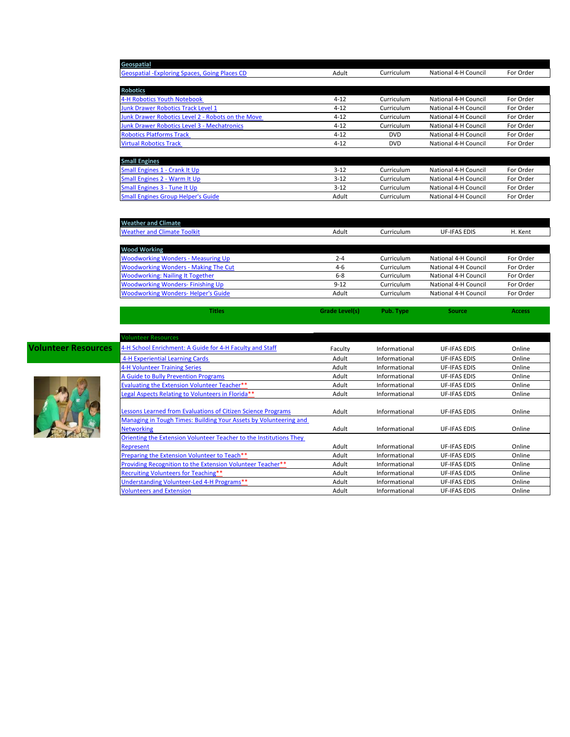| Geospatial                                         |          |            |                      |           |
|----------------------------------------------------|----------|------------|----------------------|-----------|
| Geospatial - Exploring Spaces, Going Places CD     | Adult    | Curriculum | National 4-H Council | For Order |
|                                                    |          |            |                      |           |
| <b>Robotics</b>                                    |          |            |                      |           |
| 4-H Robotics Youth Notebook                        | $4 - 12$ | Curriculum | National 4-H Council | For Order |
| <b>Junk Drawer Robotics Track Level 1</b>          | $4 - 12$ | Curriculum | National 4-H Council | For Order |
| Junk Drawer Robotics Level 2 - Robots on the Move  | $4 - 12$ | Curriculum | National 4-H Council | For Order |
| <b>Junk Drawer Robotics Level 3 - Mechatronics</b> | $4 - 12$ | Curriculum | National 4-H Council | For Order |
| <b>Robotics Platforms Track</b>                    | $4 - 12$ | <b>DVD</b> | National 4-H Council | For Order |
| <b>Virtual Robotics Track</b>                      | $4 - 12$ | <b>DVD</b> | National 4-H Council | For Order |
|                                                    |          |            |                      |           |
| <b>Small Engines</b>                               |          |            |                      |           |
| Small Engines 1 - Crank It Up                      | $3 - 12$ | Curriculum | National 4-H Council | For Order |
| Small Engines 2 - Warm It Up                       | $3 - 12$ | Curriculum | National 4-H Council | For Order |
| Small Engines 3 - Tune It Up                       | $3 - 12$ | Curriculum | National 4-H Council | For Order |

| <b>Weather and Climate</b>                  |          |            |                      |           |
|---------------------------------------------|----------|------------|----------------------|-----------|
| <b>Weather and Climate Toolkit</b>          | Adult    | Curriculum | <b>UF-IFAS EDIS</b>  | H. Kent   |
|                                             |          |            |                      |           |
| <b>Wood Working</b>                         |          |            |                      |           |
| <b>Woodworking Wonders - Measuring Up</b>   | $2 - 4$  | Curriculum | National 4-H Council | For Order |
| <b>Woodworking Wonders - Making The Cut</b> | $4-6$    | Curriculum | National 4-H Council | For Order |
| <b>Woodworking: Nailing It Together</b>     | $6 - 8$  | Curriculum | National 4-H Council | For Order |
| <b>Woodworking Wonders-Finishing Up</b>     | $9 - 12$ | Curriculum | National 4-H Council | For Order |
| <b>Woodworking Wonders-Helper's Guide</b>   | Adult    | Curriculum | National 4-H Council | For Order |

**Titles Grade Level(s) Pub. Type Source Access** 

[Small Engines Group Helper's Guide](http://www.4-hmall.org/Catalog/ProductDetails.aspx?ProductId=08189) Adult Curriculum National 4-H Council For Order



| <b>Volunteer Resources</b>                                         |         |               |                     |        |
|--------------------------------------------------------------------|---------|---------------|---------------------|--------|
| 4-H School Enrichment: A Guide for 4-H Faculty and Staff           | Faculty | Informational | <b>UF-IFAS EDIS</b> | Online |
| 4-H Experiential Learning Cards                                    | Adult   | Informational | <b>UF-IFAS EDIS</b> | Online |
| 4-H Volunteer Training Series                                      | Adult   | Informational | <b>UF-IFAS EDIS</b> | Online |
| A Guide to Bully Prevention Programs                               | Adult   | Informational | <b>UF-IFAS EDIS</b> | Online |
| Evaluating the Extension Volunteer Teacher**                       | Adult   | Informational | <b>UF-IFAS EDIS</b> | Online |
| Legal Aspects Relating to Volunteers in Florida**                  | Adult   | Informational | <b>UF-IFAS EDIS</b> | Online |
| Lessons Learned from Evaluations of Citizen Science Programs       | Adult   | Informational | <b>UF-IFAS EDIS</b> | Online |
| Managing in Tough Times: Building Your Assets by Volunteering and  |         |               |                     |        |
| <b>Networking</b>                                                  | Adult   | Informational | <b>UF-IFAS EDIS</b> | Online |
| Orienting the Extension Volunteer Teacher to the Institutions They |         |               |                     |        |
| Represent                                                          | Adult   | Informational | <b>UF-IFAS EDIS</b> | Online |
| Preparing the Extension Volunteer to Teach**                       | Adult   | Informational | <b>UF-IFAS EDIS</b> | Online |
| Providing Recognition to the Extension Volunteer Teacher**         | Adult   | Informational | <b>UF-IFAS EDIS</b> | Online |
| Recruiting Volunteers for Teaching**                               | Adult   | Informational | <b>UF-IFAS EDIS</b> | Online |
| Understanding Volunteer-Led 4-H Programs**                         | Adult   | Informational | <b>UF-IFAS EDIS</b> | Online |
| <b>Volunteers and Extension</b>                                    | Adult   | Informational | <b>UF-IFAS EDIS</b> | Online |